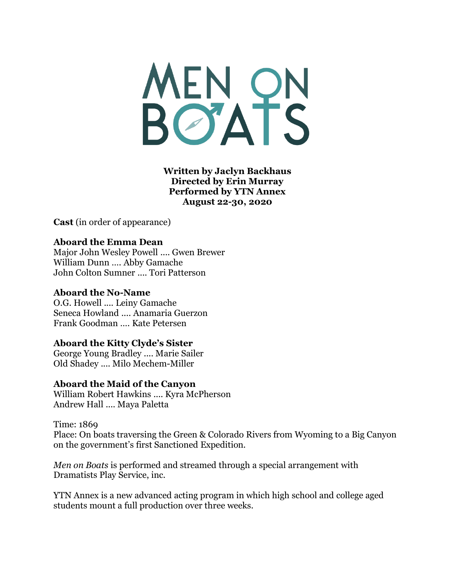MENON

**Written by Jaclyn Backhaus Directed by Erin Murray Performed by YTN Annex August 22-30, 2020**

**Cast** (in order of appearance)

# **Aboard the Emma Dean**

Major John Wesley Powell .... Gwen Brewer William Dunn …. Abby Gamache John Colton Sumner .... Tori Patterson

### **Aboard the No-Name**

O.G. Howell .... Leiny Gamache Seneca Howland .... Anamaria Guerzon Frank Goodman …. Kate Petersen

# **Aboard the Kitty Clyde's Sister**

George Young Bradley .... Marie Sailer Old Shadey .... Milo Mechem-Miller

#### **Aboard the Maid of the Canyon**

William Robert Hawkins .... Kyra McPherson Andrew Hall .... Maya Paletta

#### Time: 1869

Place: On boats traversing the Green & Colorado Rivers from Wyoming to a Big Canyon on the government's first Sanctioned Expedition.

*Men on Boats* is performed and streamed through a special arrangement with Dramatists Play Service, inc.

YTN Annex is a new advanced acting program in which high school and college aged students mount a full production over three weeks.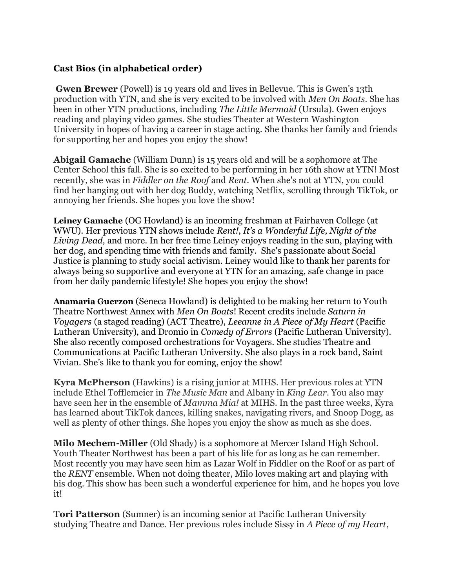# **Cast Bios (in alphabetical order)**

**Gwen Brewer** (Powell) is 19 years old and lives in Bellevue. This is Gwen's 13th production with YTN, and she is very excited to be involved with *Men On Boats*. She has been in other YTN productions, including *The Little Mermaid* (Ursula). Gwen enjoys reading and playing video games. She studies Theater at Western Washington University in hopes of having a career in stage acting. She thanks her family and friends for supporting her and hopes you enjoy the show!

**Abigail Gamache** (William Dunn) is 15 years old and will be a sophomore at The Center School this fall. She is so excited to be performing in her 16th show at YTN! Most recently, she was in *Fiddler on the Roof* and *Rent.* When she's not at YTN, you could find her hanging out with her dog Buddy, watching Netflix, scrolling through TikTok, or annoying her friends. She hopes you love the show!

**Leiney Gamache** (OG Howland) is an incoming freshman at Fairhaven College (at WWU). Her previous YTN shows include *Rent!*, *It's a Wonderful Life, Night of the Living Dead,* and more. In her free time Leiney enjoys reading in the sun, playing with her dog, and spending time with friends and family. She's passionate about Social Justice is planning to study social activism. Leiney would like to thank her parents for always being so supportive and everyone at YTN for an amazing, safe change in pace from her daily pandemic lifestyle! She hopes you enjoy the show!

**Anamaria Guerzon** (Seneca Howland) is delighted to be making her return to Youth Theatre Northwest Annex with *Men On Boats*! Recent credits include *Saturn in Voyagers* (a staged reading) (ACT Theatre), *Leeanne in A Piece of My Heart* (Pacific Lutheran University), and Dromio in *Comedy of Errors* (Pacific Lutheran University). She also recently composed orchestrations for Voyagers. She studies Theatre and Communications at Pacific Lutheran University. She also plays in a rock band, Saint Vivian. She's like to thank you for coming, enjoy the show!

**Kyra McPherson** (Hawkins) is a rising junior at MIHS. Her previous roles at YTN include Ethel Tofflemeier in *The Music Man* and Albany in *King Lear*. You also may have seen her in the ensemble of *Mamma Mia!* at MIHS. In the past three weeks, Kyra has learned about TikTok dances, killing snakes, navigating rivers, and Snoop Dogg, as well as plenty of other things. She hopes you enjoy the show as much as she does.

**Milo Mechem-Miller** (Old Shady) is a sophomore at Mercer Island High School. Youth Theater Northwest has been a part of his life for as long as he can remember. Most recently you may have seen him as Lazar Wolf in Fiddler on the Roof or as part of the *RENT* ensemble. When not doing theater, Milo loves making art and playing with his dog. This show has been such a wonderful experience for him, and he hopes you love it!

**Tori Patterson** (Sumner) is an incoming senior at Pacific Lutheran University studying Theatre and Dance. Her previous roles include Sissy in *A Piece of my Heart*,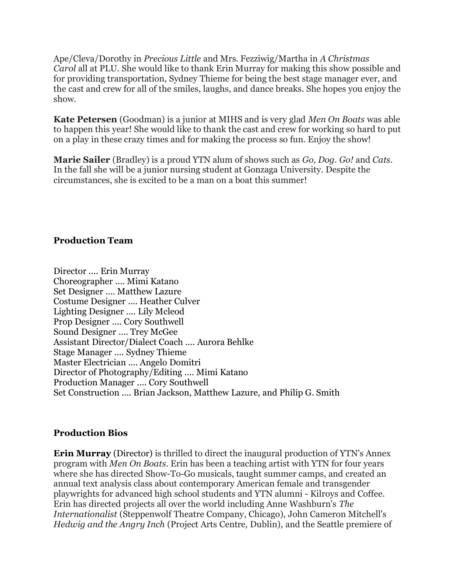Ape/Cleva/Dorothy in *Precious Little* and Mrs. Fezziwig/Martha in *A Christmas Carol* all at PLU. She would like to thank Erin Murray for making this show possible and for providing transportation, Sydney Thieme for being the best stage manager ever, and the cast and crew for all of the smiles, laughs, and dance breaks. She hopes you enjoy the show.

**Kate Petersen** (Goodman) is a junior at MIHS and is very glad *Men On Boats* was able to happen this year! She would like to thank the cast and crew for working so hard to put on a play in these crazy times and for making the process so fun. Enjoy the show!

**Marie Sailer** (Bradley) is a proud YTN alum of shows such as *Go, Dog. Go!* and *Cats*. In the fall she will be a junior nursing student at Gonzaga University. Despite the circumstances, she is excited to be a man on a boat this summer!

### **Production Team**

Director .... Erin Murray Choreographer .... Mimi Katano Set Designer .... Matthew Lazure Costume Designer .... Heather Culver Lighting Designer .... Lily Mcleod Prop Designer .... Cory Southwell Sound Designer .... Trey McGee Assistant Director/Dialect Coach .... Aurora Behlke Stage Manager .... Sydney Thieme Master Electrician .... Angelo Domitri Director of Photography/Editing .... Mimi Katano Production Manager .... Cory Southwell Set Construction .... Brian Jackson, Matthew Lazure, and Philip G. Smith

#### **Production Bios**

**Erin Murray** (Director) is thrilled to direct the inaugural production of YTN's Annex program with *Men On Boats*. Erin has been a teaching artist with YTN for four years where she has directed Show-To-Go musicals, taught summer camps, and created an annual text analysis class about contemporary American female and transgender playwrights for advanced high school students and YTN alumni - Kilroys and Coffee. Erin has directed projects all over the world including Anne Washburn's *The Internationalist* (Steppenwolf Theatre Company, Chicago), John Cameron Mitchell's *Hedwig and the Angry Inch* (Project Arts Centre, Dublin), and the Seattle premiere of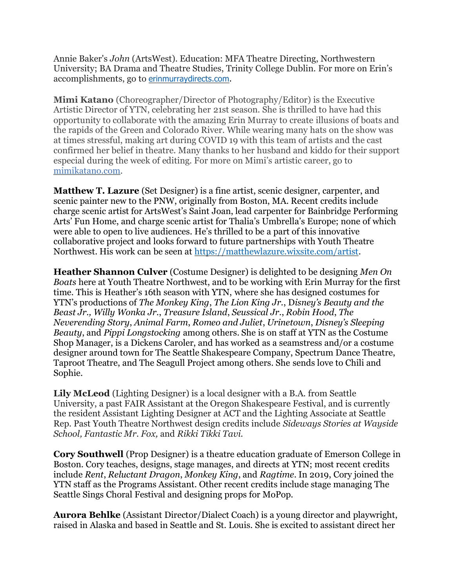Annie Baker's *John* (ArtsWest). Education: MFA Theatre Directing, Northwestern University; BA Drama and Theatre Studies, Trinity College Dublin. For more on Erin's accomplishments, go to [erinmurraydirects.com.](http://erinmurraydirects.com/)

**Mimi Katano** (Choreographer/Director of Photography/Editor) is the Executive Artistic Director of YTN, celebrating her 21st season. She is thrilled to have had this opportunity to collaborate with the amazing Erin Murray to create illusions of boats and the rapids of the Green and Colorado River. While wearing many hats on the show was at times stressful, making art during COVID 19 with this team of artists and the cast confirmed her belief in theatre. Many thanks to her husband and kiddo for their support especial during the week of editing. For more on Mimi's artistic career, go to [mimikatano.com.](http://mimikatano.com/)

**Matthew T. Lazure** (Set Designer) is a fine artist, scenic designer, carpenter, and scenic painter new to the PNW, originally from Boston, MA. Recent credits include charge scenic artist for ArtsWest's Saint Joan, lead carpenter for Bainbridge Performing Arts' Fun Home, and charge scenic artist for Thalia's Umbrella's Europe; none of which were able to open to live audiences. He's thrilled to be a part of this innovative collaborative project and looks forward to future partnerships with Youth Theatre Northwest. His work can be seen at [https://matthewlazure.wixsite.com/artist.](https://matthewlazure.wixsite.com/artist)

**Heather Shannon Culver** (Costume Designer) is delighted to be designing *Men On Boats* here at Youth Theatre Northwest, and to be working with Erin Murray for the first time. This is Heather's 16th season with YTN, where she has designed costumes for YTN's productions of *The Monkey King*, *The Lion King Jr.*, D*isney's Beauty and the Beast Jr., Willy Wonka Jr.*, *Treasure Island*, *Seussical Jr.*, *Robin Hood*, *The Neverending Story*, *Animal Farm*, *Romeo and Juliet*, *Urinetown*, *Disney's Sleeping Beauty*, and *Pippi Longstocking* among others. She is on staff at YTN as the Costume Shop Manager, is a Dickens Caroler, and has worked as a seamstress and/or a costume designer around town for The Seattle Shakespeare Company, Spectrum Dance Theatre, Taproot Theatre, and The Seagull Project among others. She sends love to Chili and Sophie.

**Lily McLeod** (Lighting Designer) is a local designer with a B.A. from Seattle University, a past FAIR Assistant at the Oregon Shakespeare Festival, and is currently the resident Assistant Lighting Designer at ACT and the Lighting Associate at Seattle Rep. Past Youth Theatre Northwest design credits include *Sideways Stories at Wayside School, Fantastic Mr. Fox,* and *Rikki Tikki Tavi.*

**Cory Southwell** (Prop Designer) is a theatre education graduate of Emerson College in Boston. Cory teaches, designs, stage manages, and directs at YTN; most recent credits include *Rent*, *Reluctant Dragon*, *Monkey King*, and *Ragtime*. In 2019, Cory joined the YTN staff as the Programs Assistant. Other recent credits include stage managing The Seattle Sings Choral Festival and designing props for MoPop.

**Aurora Behlke** (Assistant Director/Dialect Coach) is a young director and playwright, raised in Alaska and based in Seattle and St. Louis. She is excited to assistant direct her